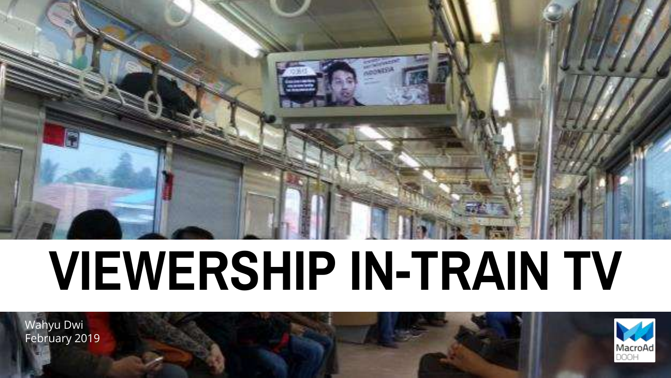

# **VIEWERSHIP IN-TRAIN TV**

Wahyu Dwi February 2019

This artwork was created using Nielsen data.

Copyright © 2017 The Nielsen Company (US), LLC. Confidential and proprietary. Do not distribute.

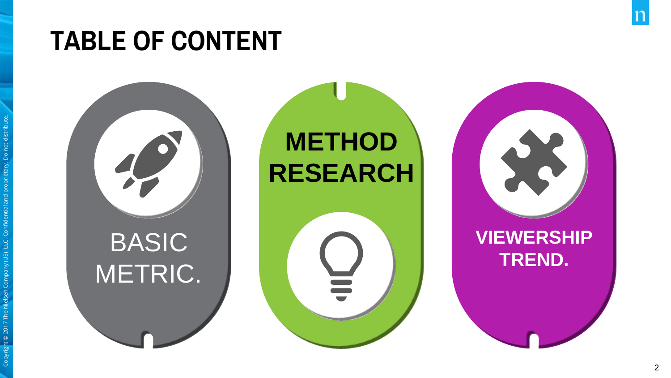# **TABLE OF CONTENT**

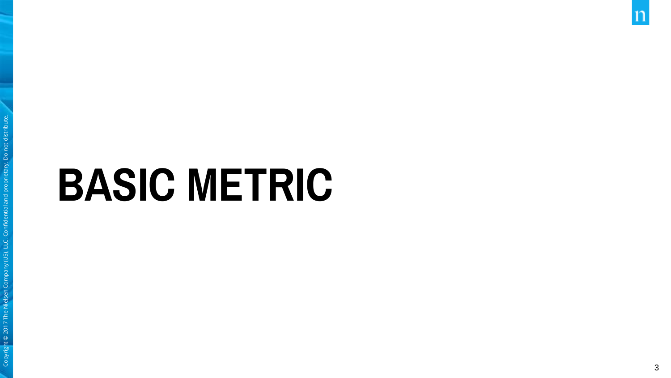# **BASIC METRIC**

 $\mathbf n$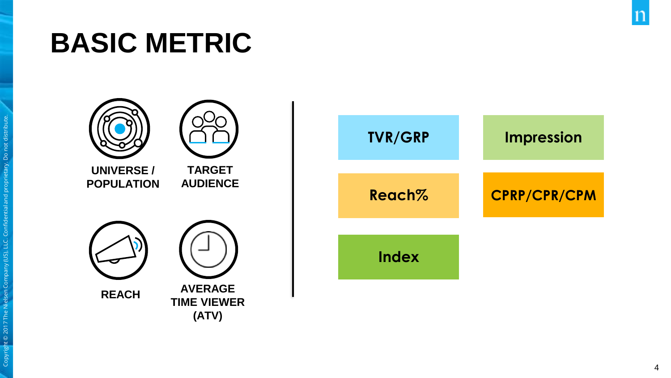# **BASIC METRIC**

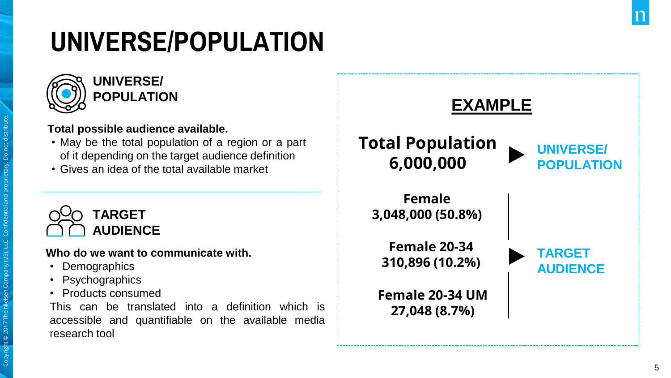# **UNIVERSE/POPULATION**



#### **Total possible audience available.**

- May be the total population of a region or a part of it depending on the target audience definition
- Gives an idea of the total available market



#### **Who do we want to communicate with.**

- Demographics
- Psychographics
- Products consumed

This can be translated into a definition which is accessible and quantifiable on the available media research tool

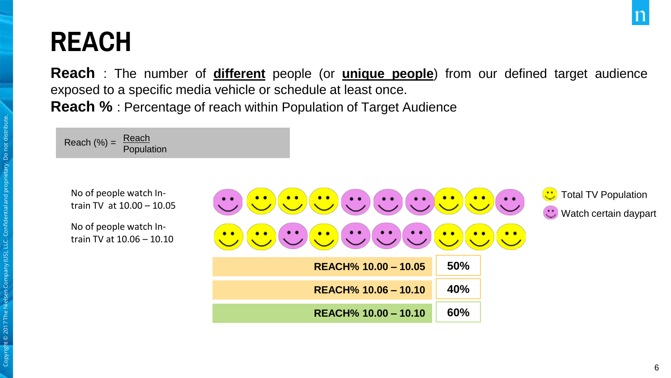# **REACH**

**Reach** : The number of **different** people (or **unique people**) from our defined target audience exposed to a specific media vehicle or schedule at least once. **Reach %** : Percentage of reach within Population of Target Audience



No of people watch Intrain TV at 10.00 – 10.05

No of people watch Intrain TV at 10.06 – 10.10

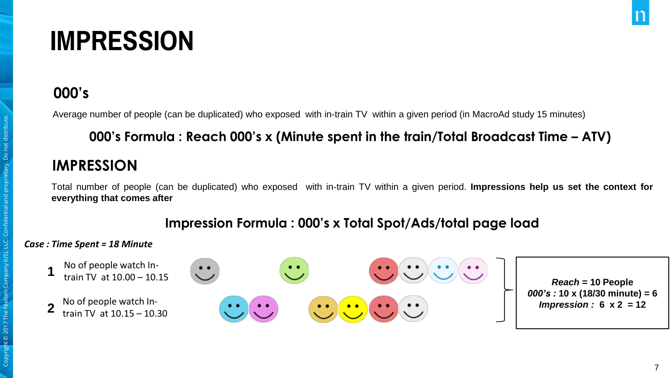# **IMPRESSION**

#### **000's**

Average number of people (can be duplicated) who exposed with in-train TV within a given period (in MacroAd study 15 minutes)

#### **000's Formula : Reach 000's x (Minute spent in the train/Total Broadcast Time – ATV)**

#### **IMPRESSION**

Total number of people (can be duplicated) who exposed with in-train TV within a given period. **Impressions help us set the context for everything that comes after**

#### **Impression Formula : 000's x Total Spot/Ads/total page load**

#### *Case : Time Spent = 18 Minute*

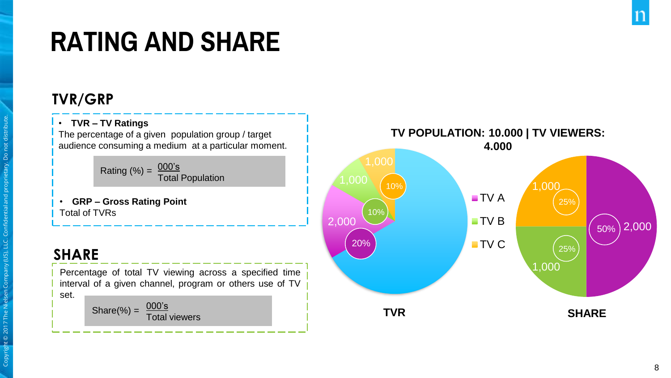# **RATING AND SHARE**

#### **TVR/GRP**

#### • **TVR – TV Ratings**

The percentage of a given population group / target audience consuming a medium at a particular moment.

> $000's$ Total Population Rating  $(\%) =$

• **GRP – Gross Rating Point** Total of TVRs

#### **SHARE**

Percentage of total TV viewing across a specified time interval of a given channel, program or others use of TV set. 000's

Total viewers Share(%) =

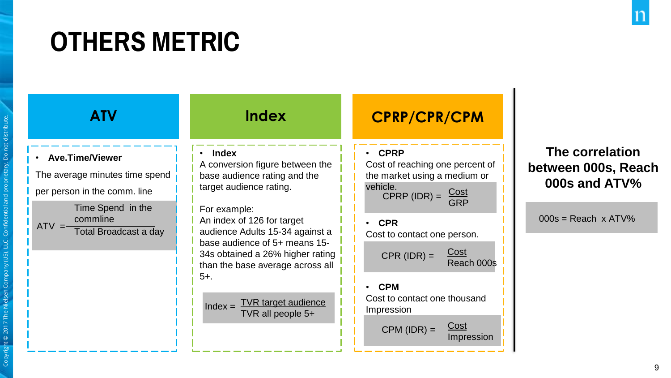# **OTHERS METRIC**

#### • **Ave.Time/Viewer**

The average minutes time spend per person in the comm. line Time Spend in the

commline  $ATV = \frac{55 \text{ mm} \cdot \text{m}}{Total Broadcasting}$ 

#### • **Index**

A conversion figure between the base audience rating and the target audience rating.

For example: An index of 126 for target audience Adults 15-34 against a base audience of 5+ means 15- 34s obtained a 26% higher rating than the base average across all 5+.

TVR target audience TVR all people 5+  $Index =$ 

#### **ATV Index CPRP/CPR/CPM**

#### • **CPRP**

Cost of reaching one percent of the market using a medium or vehicle.<br>CPRP (IDR) =  $\frac{\text{Cost}}{\text{SBS}}$ GRP

• **CPR** Cost to contact one person. Cost  $CPR$  ( $IDR$ ) = • **CPM**

## Reach 000s Cost to contact one thousand

Impression Cost Impression  $CPM (IDR) =$ 

#### **The correlation between 000s, Reach 000s and ATV%**

 $000s =$ Reach x ATV%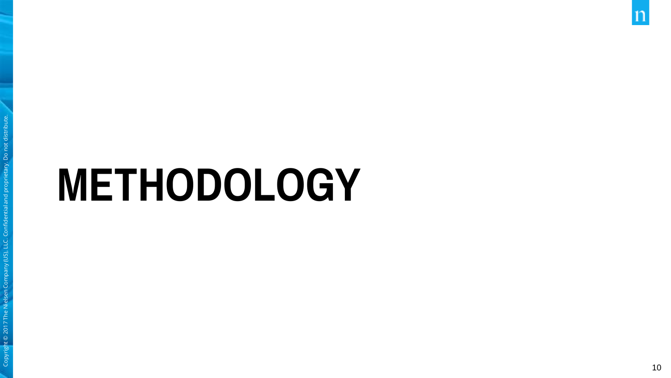# **METHODOLOGY**

 $\mathbf n$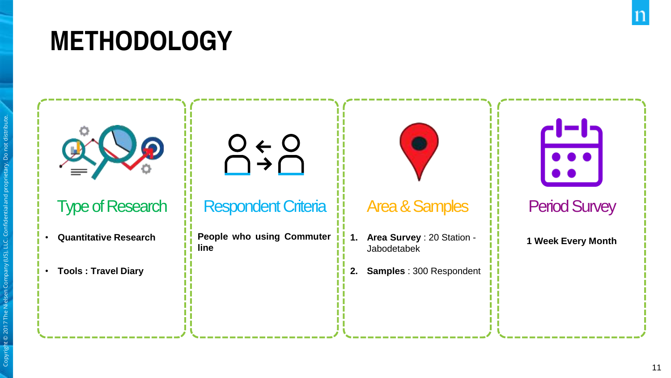# **METHODOLOGY**

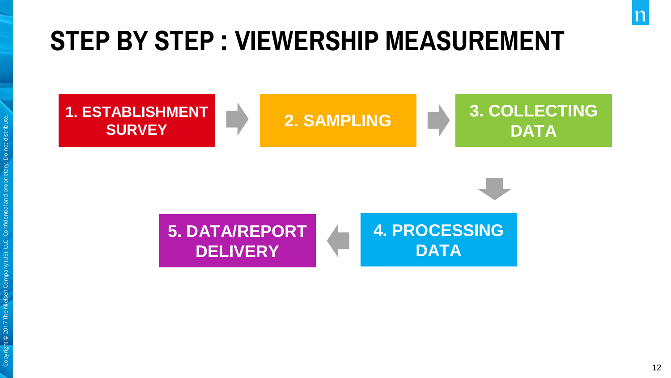# **STEP BY STEP : VIEWERSHIP MEASUREMENT**

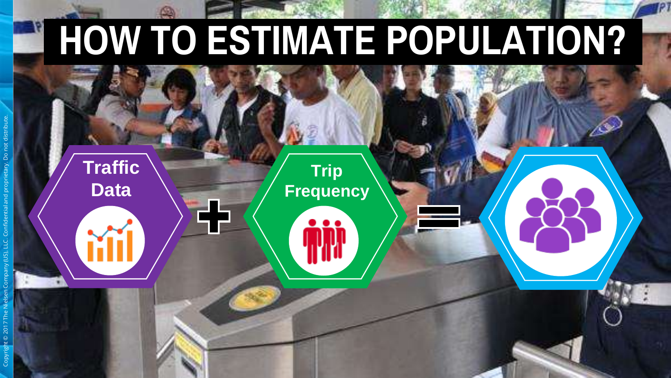# **HOW TO ESTIMATE POPULATION?**

**Trip** 

**Frequency**

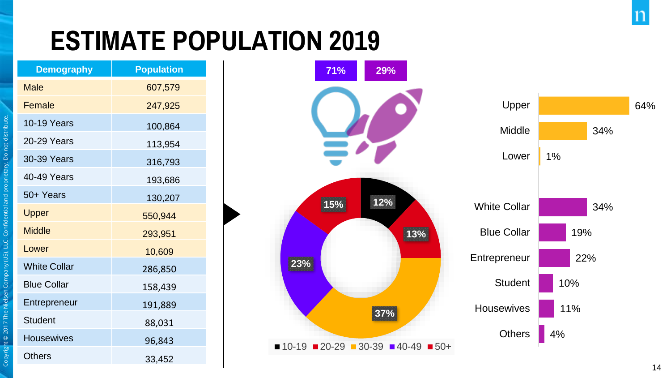# **ESTIMATE POPULATION 2019**

| <b>Population</b> |
|-------------------|
| 607,579           |
| 247,925           |
| 100,864           |
| 113,954           |
| 316,793           |
| 193,686           |
| 130,207           |
| 550,944           |
| 293,951           |
| 10,609            |
| 286,850           |
| 158,439           |
| 191,889           |
| 88,031            |
| 96,843            |
| 33,452            |
|                   |

Copyright © 2017 The Nielsen Company (US), LLC. Confidential and proprietary. Do not distribute.

Company (US), LLC. Confidential and

t © 2017 The Nielsen

Copyrigh

ary. Do not distrib





 $\mathbf n$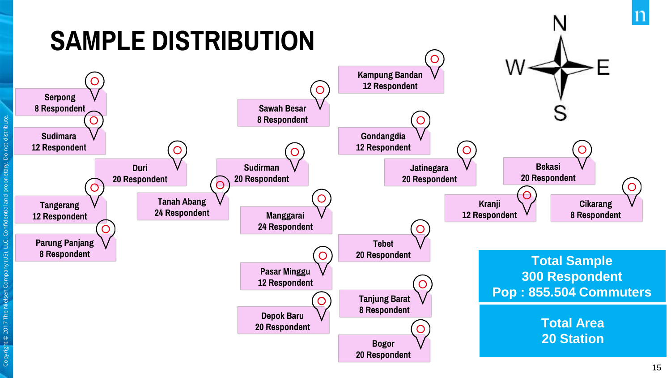# **SAMPLE DISTRIBUTION**

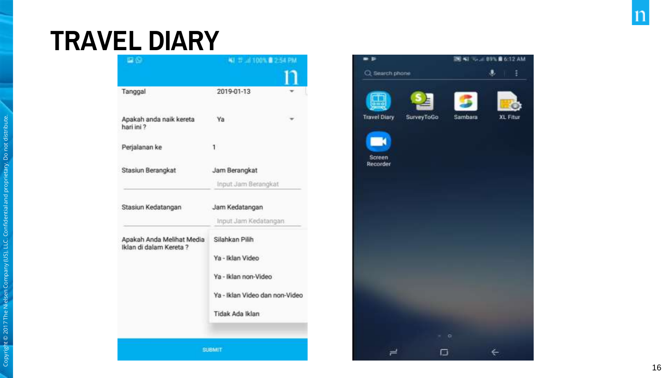## **TRAVEL DIARY**

| 早後に                                                  | NJ 22 Jd 100%  254 PM                                                                                           |  |
|------------------------------------------------------|-----------------------------------------------------------------------------------------------------------------|--|
|                                                      |                                                                                                                 |  |
| Tanggal                                              | 2019-01-13                                                                                                      |  |
| Apakah anda naik kereta<br>hari ini ?                | Ya                                                                                                              |  |
| Perjalanan ke                                        | $\mathbf{1}$                                                                                                    |  |
| Stasiun Berangkat                                    | Jam Berangkat<br>Input Jam Berangkat                                                                            |  |
| Stasiun Kedatangan                                   | Jam Kedatangan<br>Input Jam Kedatangan                                                                          |  |
| Apakah Anda Melihat Media<br>Iklan di dalam Kereta ? | Silahkan Pilih<br>Ya - Iklan Video<br>Ya - Iklan non-Video<br>Ya - Iklan Video dan non-Video<br>Tidak Ada Iklan |  |

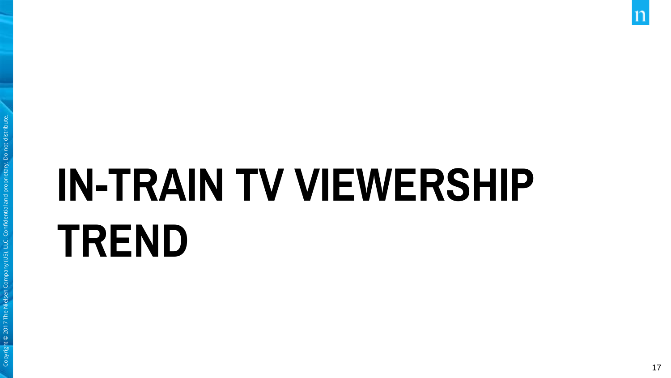# **IN -TRAIN TV VIEWERSHIP TREND**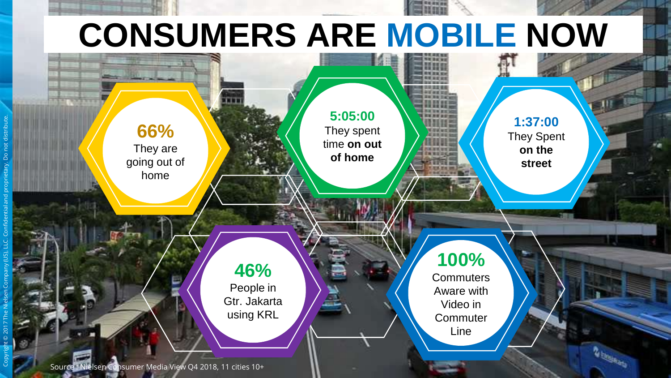# **CONSUMERS ARE MOBILE NOW**



Copyright © 2017 The Nielsen Company (US), LLC. Confidential and proprietary. Do not distribute.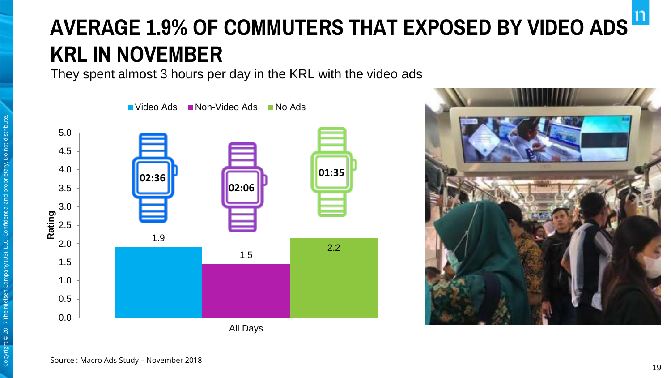# **AVERAGE 1.9% OF COMMUTERS THAT EXPOSED BY VIDEO ADS KRL IN NOVEMBER**

They spent almost 3 hours per day in the KRL with the video ads



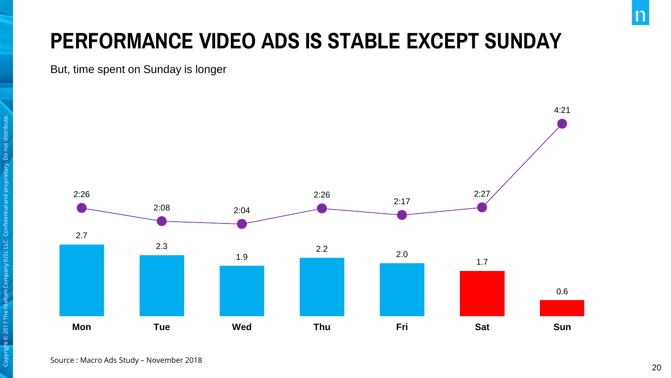## **PERFORMANCE VIDEO ADS IS STABLE EXCEPT SUNDAY**

But, time spent on Sunday is longer

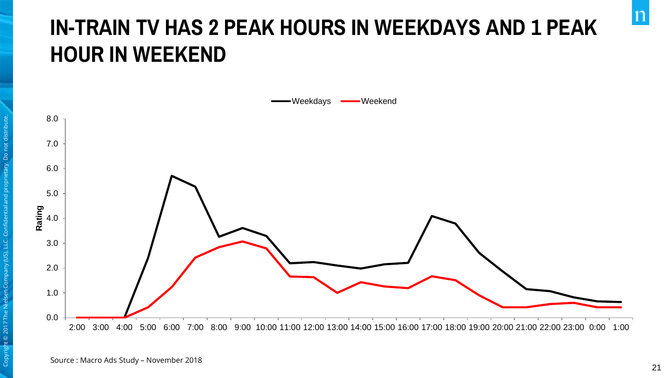## **IN-TRAIN TV HAS 2 PEAK HOURS IN WEEKDAYS AND 1 PEAK HOUR IN WEEKEND**



 $\mathsf{n}$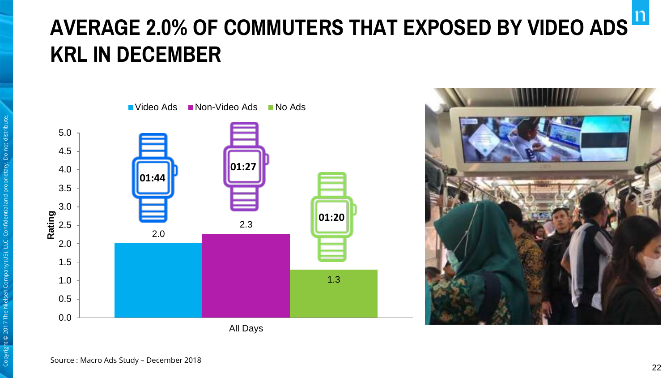# **AVERAGE 2.0% OF COMMUTERS THAT EXPOSED BY VIDEO ADS KRL IN DECEMBER**



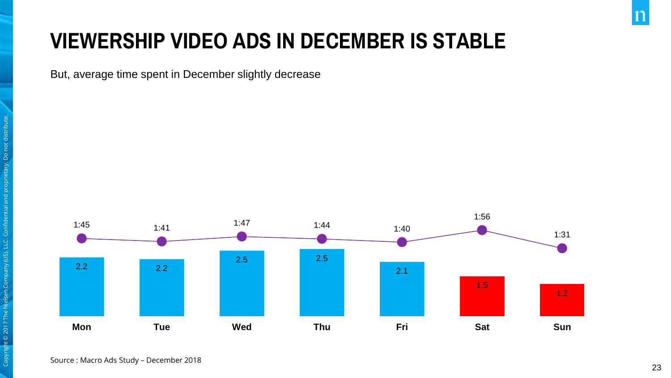### **VIEWERSHIP VIDEO ADS IN DECEMBER IS STABLE**

But, average time spent in December slightly decrease



23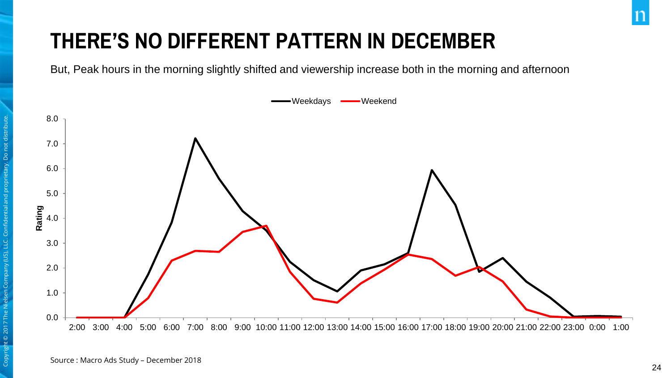## **THERE'S NO DIFFERENT PATTERN IN DECEMBER**

But, Peak hours in the morning slightly shifted and viewership increase both in the morning and afternoon